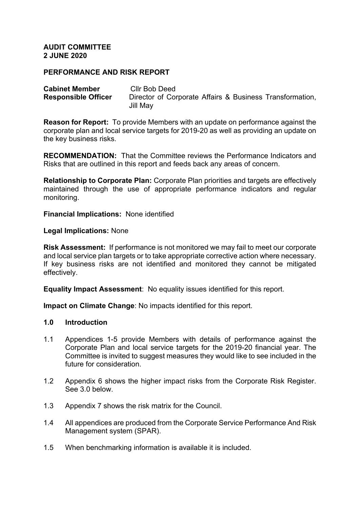#### **AUDIT COMMITTEE 2 JUNE 2020**

## **PERFORMANCE AND RISK REPORT**

| <b>Cabinet Member</b>      | Cllr Bob Deed                                            |
|----------------------------|----------------------------------------------------------|
| <b>Responsible Officer</b> | Director of Corporate Affairs & Business Transformation, |
|                            | Jill May                                                 |

**Reason for Report:** To provide Members with an update on performance against the corporate plan and local service targets for 2019-20 as well as providing an update on the key business risks.

**RECOMMENDATION:** That the Committee reviews the Performance Indicators and Risks that are outlined in this report and feeds back any areas of concern.

**Relationship to Corporate Plan:** Corporate Plan priorities and targets are effectively maintained through the use of appropriate performance indicators and regular monitoring.

**Financial Implications:** None identified

#### **Legal Implications:** None

**Risk Assessment:** If performance is not monitored we may fail to meet our corporate and local service plan targets or to take appropriate corrective action where necessary. If key business risks are not identified and monitored they cannot be mitigated effectively.

**Equality Impact Assessment**: No equality issues identified for this report.

**Impact on Climate Change**: No impacts identified for this report.

#### **1.0 Introduction**

- 1.1 Appendices 1-5 provide Members with details of performance against the Corporate Plan and local service targets for the 2019-20 financial year. The Committee is invited to suggest measures they would like to see included in the future for consideration.
- 1.2 Appendix 6 shows the higher impact risks from the Corporate Risk Register. See 3.0 below.
- 1.3 Appendix 7 shows the risk matrix for the Council.
- 1.4 All appendices are produced from the Corporate Service Performance And Risk Management system (SPAR).
- 1.5 When benchmarking information is available it is included.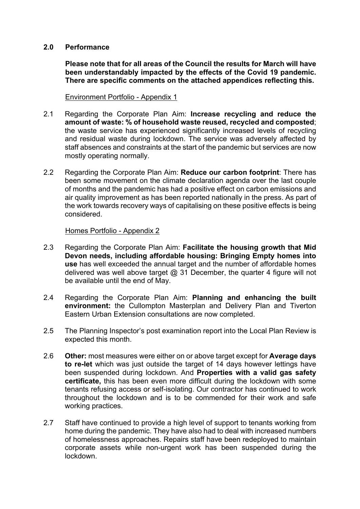## **2.0 Performance**

**Please note that for all areas of the Council the results for March will have been understandably impacted by the effects of the Covid 19 pandemic. There are specific comments on the attached appendices reflecting this.**

Environment Portfolio - Appendix 1

- 2.1 Regarding the Corporate Plan Aim: **Increase recycling and reduce the amount of waste: % of household waste reused, recycled and composted**; the waste service has experienced significantly increased levels of recycling and residual waste during lockdown. The service was adversely affected by staff absences and constraints at the start of the pandemic but services are now mostly operating normally.
- 2.2 Regarding the Corporate Plan Aim: **Reduce our carbon footprint**: There has been some movement on the climate declaration agenda over the last couple of months and the pandemic has had a positive effect on carbon emissions and air quality improvement as has been reported nationally in the press. As part of the work towards recovery ways of capitalising on these positive effects is being considered.

#### Homes Portfolio - Appendix 2

- 2.3 Regarding the Corporate Plan Aim: **Facilitate the housing growth that Mid Devon needs, including affordable housing: Bringing Empty homes into use** has well exceeded the annual target and the number of affordable homes delivered was well above target  $@$  31 December, the quarter 4 figure will not be available until the end of May.
- 2.4 Regarding the Corporate Plan Aim: **Planning and enhancing the built environment:** the Cullompton Masterplan and Delivery Plan and Tiverton Eastern Urban Extension consultations are now completed.
- 2.5 The Planning Inspector's post examination report into the Local Plan Review is expected this month.
- 2.6 **Other:** most measures were either on or above target except for **Average days to re-let** which was just outside the target of 14 days however lettings have been suspended during lockdown. And **Properties with a valid gas safety certificate,** this has been even more difficult during the lockdown with some tenants refusing access or self-isolating. Our contractor has continued to work throughout the lockdown and is to be commended for their work and safe working practices.
- 2.7 Staff have continued to provide a high level of support to tenants working from home during the pandemic. They have also had to deal with increased numbers of homelessness approaches. Repairs staff have been redeployed to maintain corporate assets while non-urgent work has been suspended during the lockdown.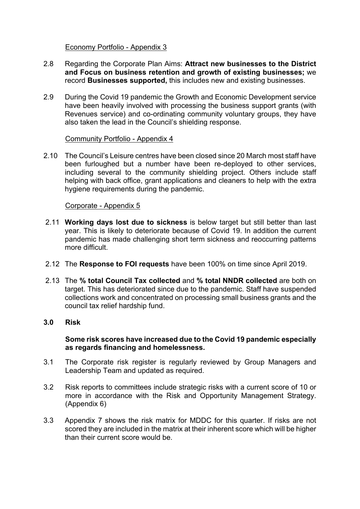## Economy Portfolio - Appendix 3

- 2.8 Regarding the Corporate Plan Aims: **Attract new businesses to the District and Focus on business retention and growth of existing businesses;** we record **Businesses supported,** this includes new and existing businesses.
- 2.9 During the Covid 19 pandemic the Growth and Economic Development service have been heavily involved with processing the business support grants (with Revenues service) and co-ordinating community voluntary groups, they have also taken the lead in the Council's shielding response.

# Community Portfolio - Appendix 4

2.10 The Council's Leisure centres have been closed since 20 March most staff have been furloughed but a number have been re-deployed to other services, including several to the community shielding project. Others include staff helping with back office, grant applications and cleaners to help with the extra hygiene requirements during the pandemic.

### Corporate - Appendix 5

- 2.11 **Working days lost due to sickness** is below target but still better than last year. This is likely to deteriorate because of Covid 19. In addition the current pandemic has made challenging short term sickness and reoccurring patterns more difficult.
- 2.12 The **Response to FOI requests** have been 100% on time since April 2019.
- 2.13 The **% total Council Tax collected** and **% total NNDR collected** are both on target. This has deteriorated since due to the pandemic. Staff have suspended collections work and concentrated on processing small business grants and the council tax relief hardship fund.

# **3.0 Risk**

# **Some risk scores have increased due to the Covid 19 pandemic especially as regards financing and homelessness.**

- 3.1 The Corporate risk register is regularly reviewed by Group Managers and Leadership Team and updated as required.
- 3.2 Risk reports to committees include strategic risks with a current score of 10 or more in accordance with the Risk and Opportunity Management Strategy. (Appendix 6)
- 3.3 Appendix 7 shows the risk matrix for MDDC for this quarter. If risks are not scored they are included in the matrix at their inherent score which will be higher than their current score would be.